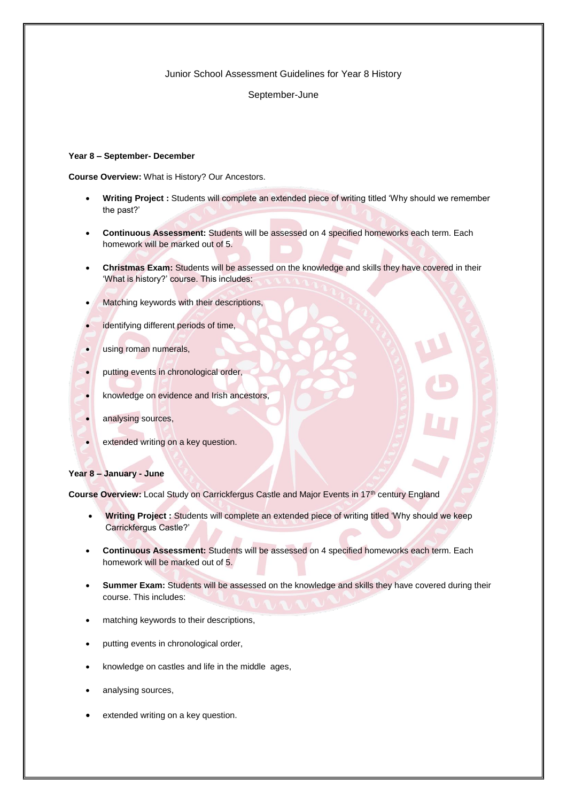### Junior School Assessment Guidelines for Year 8 History

### September-June

## **Year 8 – September- December**

**Course Overview:** What is History? Our Ancestors.

- **Writing Project :** Students will complete an extended piece of writing titled 'Why should we remember the past?'
- **Continuous Assessment:** Students will be assessed on 4 specified homeworks each term. Each homework will be marked out of 5.
- **Christmas Exam:** Students will be assessed on the knowledge and skills they have covered in their 'What is history?' course. This includes:
- Matching keywords with their descriptions,
- identifying different periods of time,
- using roman numerals,
- putting events in chronological order,
- knowledge on evidence and Irish ancestors,
- analysing sources,
- extended writing on a key question.

### **Year 8 – January - June**

**Course Overview:** Local Study on Carrickfergus Castle and Major Events in 17th century England

- **Writing Project :** Students will complete an extended piece of writing titled 'Why should we keep Carrickfergus Castle?'
- **Continuous Assessment:** Students will be assessed on 4 specified homeworks each term. Each homework will be marked out of 5.
- **Summer Exam:** Students will be assessed on the knowledge and skills they have covered during their course. This includes:
- matching keywords to their descriptions,
- putting events in chronological order,
- knowledge on castles and life in the middle ages,
- analysing sources,
- extended writing on a key question.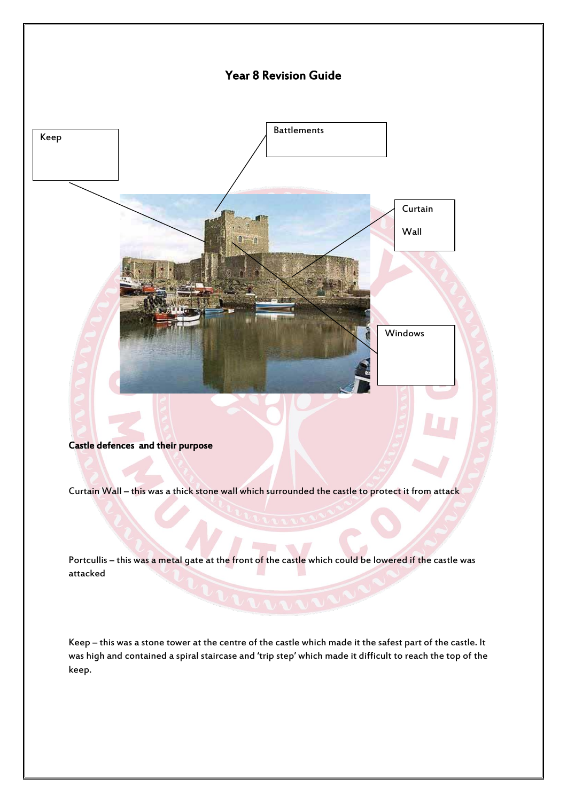

Portcullis – this was a metal gate at the front of the castle which could be lowered if the castle was attacked

Keep – this was a stone tower at the centre of the castle which made it the safest part of the castle. It was high and contained a spiral staircase and 'trip step' which made it difficult to reach the top of the keep.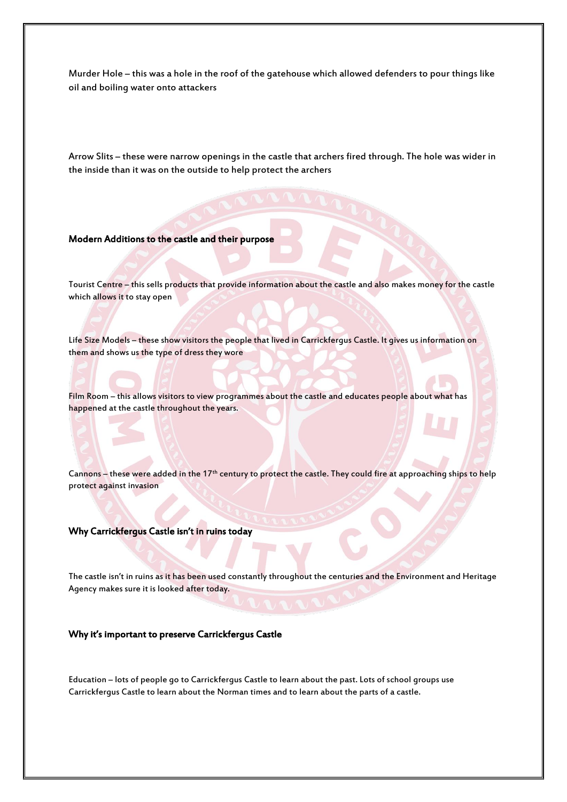Murder Hole – this was a hole in the roof of the gatehouse which allowed defenders to pour things like oil and boiling water onto attackers

Arrow Slits – these were narrow openings in the castle that archers fired through. The hole was wider in the inside than it was on the outside to help protect the archers

### Modern Additions to the castle and their purpose

Tourist Centre – this sells products that provide information about the castle and also makes money for the castle which allows it to stay open

Life Size Models – these show visitors the people that lived in Carrickfergus Castle. It gives us information on them and shows us the type of dress they wore

Film Room – this allows visitors to view programmes about the castle and educates people about what has happened at the castle throughout the years.

Cannons – these were added in the 17<sup>th</sup> century to protect the castle. They could fire at approaching ships to help protect against invasion

### Why Carrickfergus Castle isn't in ruins today

The castle isn't in ruins as it has been used constantly throughout the centuries and the Environment and Heritage Agency makes sure it is looked after today.

### Why it's important to preserve Carrickfergus Castle

Education – lots of people go to Carrickfergus Castle to learn about the past. Lots of school groups use Carrickfergus Castle to learn about the Norman times and to learn about the parts of a castle.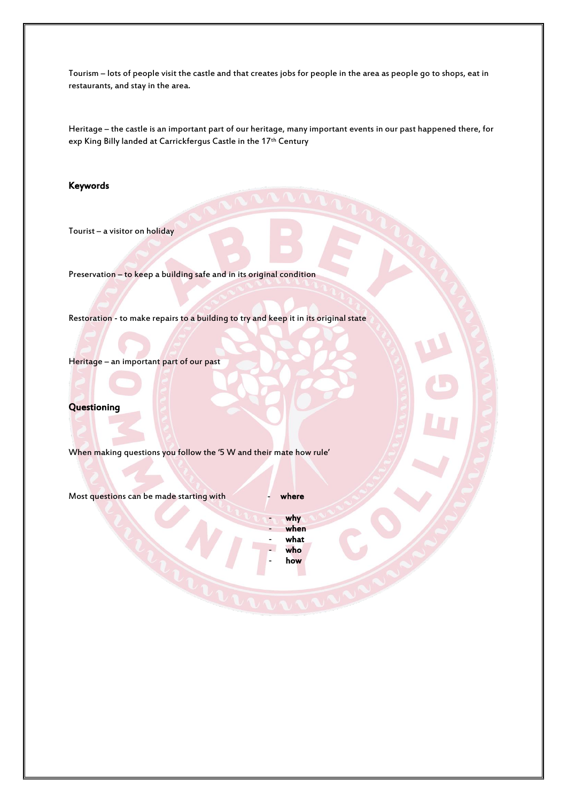Tourism – lots of people visit the castle and that creates jobs for people in the area as people go to shops, eat in restaurants, and stay in the area.

Heritage – the castle is an important part of our heritage, many important events in our past happened there, for exp King Billy landed at Carrickfergus Castle in the 17<sup>th</sup> Century

# Keywords

Tourist – a visitor on holiday

Preservation – to keep a building safe and in its original condition

Restoration - to make repairs to a building to try and keep it in its original state

Heritage – an important part of our past

### **Questioning**

When making questions you follow the '5 W and their mate how rule'

Most questions can be made starting with **Theory of Starting With** 

why - when - what - who how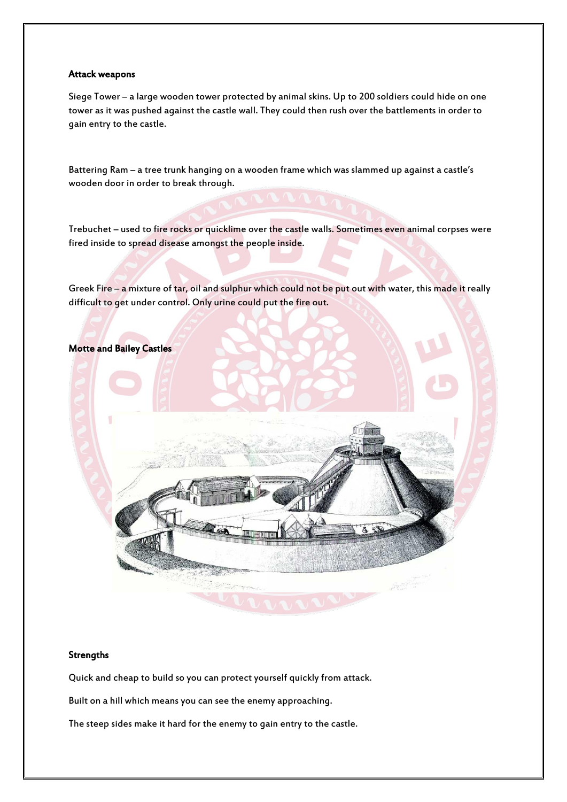### Attack weapons

Siege Tower – a large wooden tower protected by animal skins. Up to 200 soldiers could hide on one tower as it was pushed against the castle wall. They could then rush over the battlements in order to gain entry to the castle.

Battering Ram – a tree trunk hanging on a wooden frame which was slammed up against a castle's wooden door in order to break through.

Trebuchet – used to fire rocks or quicklime over the castle walls. Sometimes even animal corpses were fired inside to spread disease amongst the people inside.

Greek Fire – a mixture of tar, oil and sulphur which could not be put out with water, this made it really difficult to get under control. Only urine could put the fire out.



#### **Strengths**

Quick and cheap to build so you can protect yourself quickly from attack.

Built on a hill which means you can see the enemy approaching.

The steep sides make it hard for the enemy to gain entry to the castle.